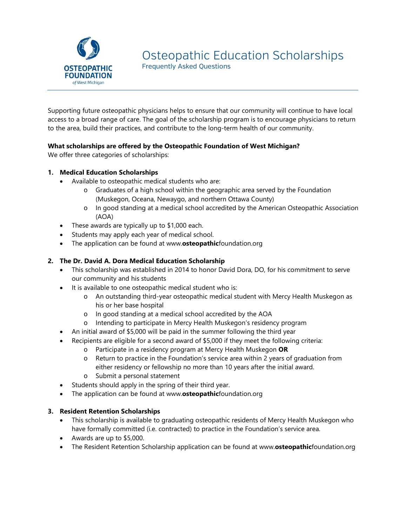

Frequently Asked Questions

Supporting future osteopathic physicians helps to ensure that our community will continue to have local access to a broad range of care. The goal of the scholarship program is to encourage physicians to return to the area, build their practices, and contribute to the long-term health of our community.

# **What scholarships are offered by the Osteopathic Foundation of West Michigan?**

We offer three categories of scholarships:

## **1. Medical Education Scholarships**

- Available to osteopathic medical students who are:
	- o Graduates of a high school within the geographic area served by the Foundation (Muskegon, Oceana, Newaygo, and northern Ottawa County)
	- o In good standing at a medical school accredited by the American Osteopathic Association (AOA)
- These awards are typically up to \$1,000 each.
- Students may apply each year of medical school.
- The application can be found at www.**osteopathic**foundation.org

# **2. The Dr. David A. Dora Medical Education Scholarship**

- This scholarship was established in 2014 to honor David Dora, DO, for his commitment to serve our community and his students
- It is available to one osteopathic medical student who is:
	- o An outstanding third-year osteopathic medical student with Mercy Health Muskegon as his or her base hospital
	- o In good standing at a medical school accredited by the AOA
	- o Intending to participate in Mercy Health Muskegon's residency program
- An initial award of \$5,000 will be paid in the summer following the third year
- Recipients are eligible for a second award of \$5,000 if they meet the following criteria:
	- o Participate in a residency program at Mercy Health Muskegon **OR**
	- o Return to practice in the Foundation's service area within 2 years of graduation from either residency or fellowship no more than 10 years after the initial award.
	- o Submit a personal statement
- Students should apply in the spring of their third year.
- The application can be found at www.**osteopathic**foundation.org

## **3. Resident Retention Scholarships**

- This scholarship is available to graduating osteopathic residents of Mercy Health Muskegon who have formally committed (i.e. contracted) to practice in the Foundation's service area.
- Awards are up to \$5,000.
- The Resident Retention Scholarship application can be found at www.**osteopathic**foundation.org